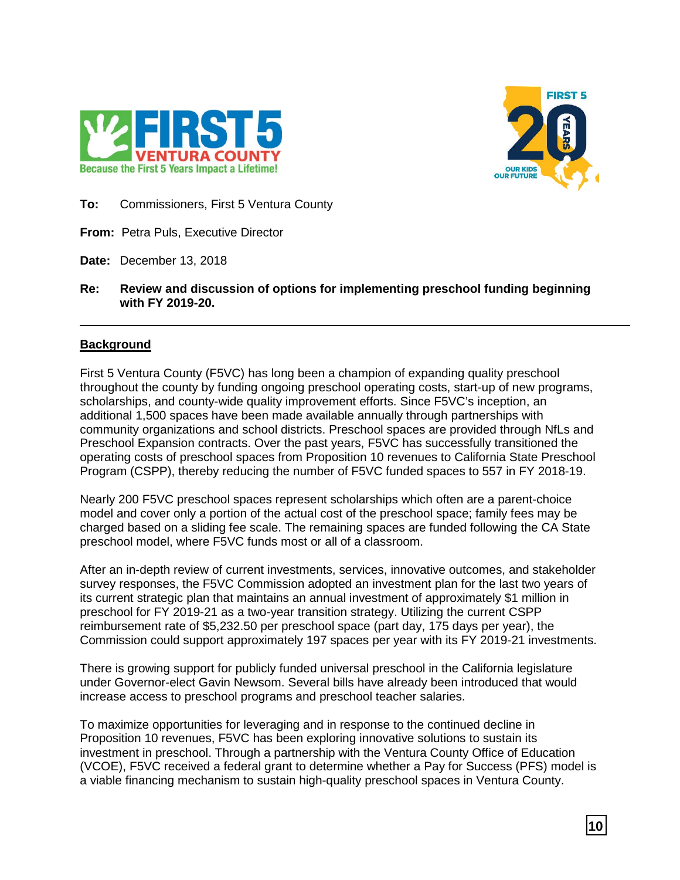



**To:** Commissioners, First 5 Ventura County

**From:** Petra Puls, Executive Director

**Date:** December 13, 2018

**Re: Review and discussion of options for implementing preschool funding beginning with FY 2019-20.**

# **Background**

First 5 Ventura County (F5VC) has long been a champion of expanding quality preschool throughout the county by funding ongoing preschool operating costs, start-up of new programs, scholarships, and county-wide quality improvement efforts. Since F5VC's inception, an additional 1,500 spaces have been made available annually through partnerships with community organizations and school districts. Preschool spaces are provided through NfLs and Preschool Expansion contracts. Over the past years, F5VC has successfully transitioned the operating costs of preschool spaces from Proposition 10 revenues to California State Preschool Program (CSPP), thereby reducing the number of F5VC funded spaces to 557 in FY 2018-19.

Nearly 200 F5VC preschool spaces represent scholarships which often are a parent-choice model and cover only a portion of the actual cost of the preschool space; family fees may be charged based on a sliding fee scale. The remaining spaces are funded following the CA State preschool model, where F5VC funds most or all of a classroom.

After an in-depth review of current investments, services, innovative outcomes, and stakeholder survey responses, the F5VC Commission adopted an investment plan for the last two years of its current strategic plan that maintains an annual investment of approximately \$1 million in preschool for FY 2019-21 as a two-year transition strategy. Utilizing the current CSPP reimbursement rate of \$5,232.50 per preschool space (part day, 175 days per year), the Commission could support approximately 197 spaces per year with its FY 2019-21 investments.

There is growing support for publicly funded universal preschool in the California legislature under Governor-elect Gavin Newsom. Several bills have already been introduced that would increase access to preschool programs and preschool teacher salaries.

To maximize opportunities for leveraging and in response to the continued decline in Proposition 10 revenues, F5VC has been exploring innovative solutions to sustain its investment in preschool. Through a partnership with the Ventura County Office of Education (VCOE), F5VC received a federal grant to determine whether a Pay for Success (PFS) model is a viable financing mechanism to sustain high-quality preschool spaces in Ventura County.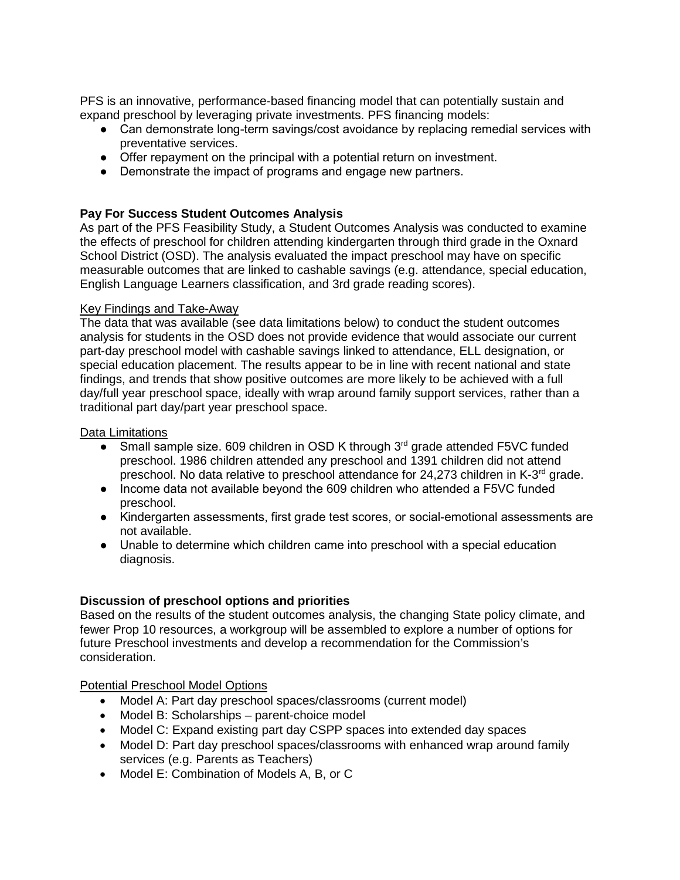PFS is an innovative, performance-based financing model that can potentially sustain and expand preschool by leveraging private investments. PFS financing models:

- Can demonstrate long-term savings/cost avoidance by replacing remedial services with preventative services.
- Offer repayment on the principal with a potential return on investment.
- Demonstrate the impact of programs and engage new partners.

# **Pay For Success Student Outcomes Analysis**

As part of the PFS Feasibility Study, a Student Outcomes Analysis was conducted to examine the effects of preschool for children attending kindergarten through third grade in the Oxnard School District (OSD). The analysis evaluated the impact preschool may have on specific measurable outcomes that are linked to cashable savings (e.g. attendance, special education, English Language Learners classification, and 3rd grade reading scores).

### Key Findings and Take-Away

The data that was available (see data limitations below) to conduct the student outcomes analysis for students in the OSD does not provide evidence that would associate our current part-day preschool model with cashable savings linked to attendance, ELL designation, or special education placement. The results appear to be in line with recent national and state findings, and trends that show positive outcomes are more likely to be achieved with a full day/full year preschool space, ideally with wrap around family support services, rather than a traditional part day/part year preschool space.

#### Data Limitations

- Small sample size. 609 children in OSD K through 3<sup>rd</sup> grade attended F5VC funded preschool. 1986 children attended any preschool and 1391 children did not attend preschool. No data relative to preschool attendance for 24,273 children in K-3rd grade.
- Income data not available beyond the 609 children who attended a F5VC funded preschool.
- Kindergarten assessments, first grade test scores, or social-emotional assessments are not available.
- Unable to determine which children came into preschool with a special education diagnosis.

### **Discussion of preschool options and priorities**

Based on the results of the student outcomes analysis, the changing State policy climate, and fewer Prop 10 resources, a workgroup will be assembled to explore a number of options for future Preschool investments and develop a recommendation for the Commission's consideration.

Potential Preschool Model Options

- Model A: Part day preschool spaces/classrooms (current model)
- Model B: Scholarships parent-choice model
- Model C: Expand existing part day CSPP spaces into extended day spaces
- Model D: Part day preschool spaces/classrooms with enhanced wrap around family services (e.g. Parents as Teachers)
- Model E: Combination of Models A, B, or C